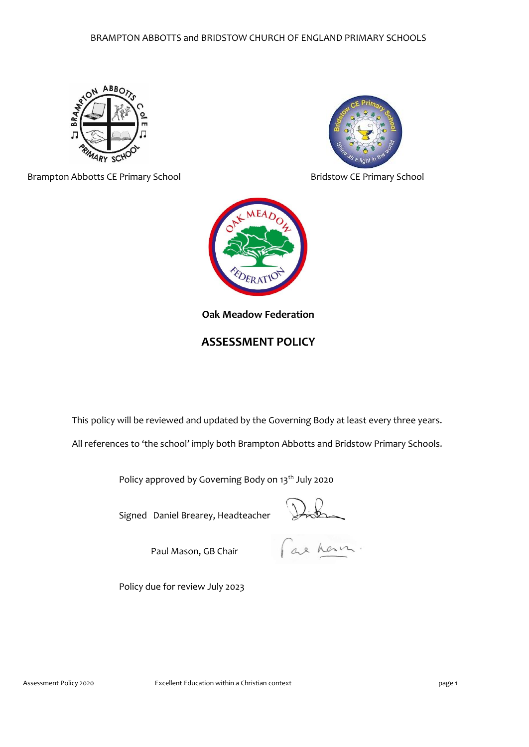

Brampton Abbotts CE Primary School **Bridstow CE Primary School** Bridstow CE Primary School



**Oak Meadow Federation**

# **ASSESSMENT POLICY**

This policy will be reviewed and updated by the Governing Body at least every three years.

All references to 'the school' imply both Brampton Abbotts and Bridstow Primary Schools.

Policy approved by Governing Body on 13<sup>th</sup> July 2020

Signed Daniel Brearey, Headteacher

Paul Mason, GB Chair

Distin

Policy due for review July 2023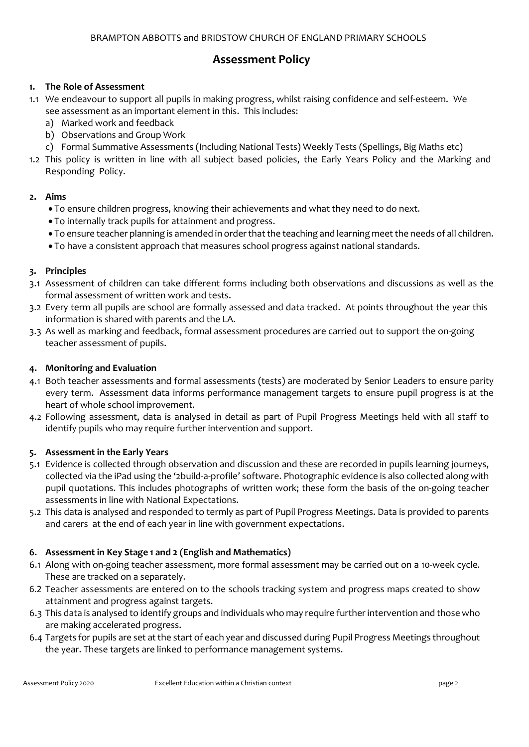# **Assessment Policy**

# **1. The Role of Assessment**

- 1.1 We endeavour to support all pupils in making progress, whilst raising confidence and self-esteem. We see assessment as an important element in this. This includes:
	- a) Marked work and feedback
	- b) Observations and Group Work
	- c) Formal Summative Assessments (Including National Tests) Weekly Tests (Spellings, Big Maths etc)
- 1.2 This policy is written in line with all subject based policies, the Early Years Policy and the Marking and Responding Policy.

### **2. Aims**

- To ensure children progress, knowing their achievements and what they need to do next.
- To internally track pupils for attainment and progress.
- To ensure teacher planning is amended in order that the teaching and learning meet the needs of all children.
- To have a consistent approach that measures school progress against national standards.

### **3. Principles**

- 3.1 Assessment of children can take different forms including both observations and discussions as well as the formal assessment of written work and tests.
- 3.2 Every term all pupils are school are formally assessed and data tracked. At points throughout the year this information is shared with parents and the LA.
- 3.3 As well as marking and feedback, formal assessment procedures are carried out to support the on-going teacher assessment of pupils.

#### **4. Monitoring and Evaluation**

- 4.1 Both teacher assessments and formal assessments (tests) are moderated by Senior Leaders to ensure parity every term. Assessment data informs performance management targets to ensure pupil progress is at the heart of whole school improvement.
- 4.2 Following assessment, data is analysed in detail as part of Pupil Progress Meetings held with all staff to identify pupils who may require further intervention and support.

#### **5. Assessment in the Early Years**

- 5.1 Evidence is collected through observation and discussion and these are recorded in pupils learning journeys, collected via the iPad using the '2build-a-profile' software. Photographic evidence is also collected along with pupil quotations. This includes photographs of written work; these form the basis of the on-going teacher assessments in line with National Expectations.
- 5.2 This data is analysed and responded to termly as part of Pupil Progress Meetings. Data is provided to parents and carers at the end of each year in line with government expectations.

# **6. Assessment in Key Stage 1 and 2 (English and Mathematics)**

- 6.1 Along with on-going teacher assessment, more formal assessment may be carried out on a 10-week cycle. These are tracked on a separately.
- 6.2 Teacher assessments are entered on to the schools tracking system and progress maps created to show attainment and progress against targets.
- 6.3 This data is analysed to identify groups and individuals who may require further intervention and those who are making accelerated progress.
- 6.4 Targets for pupils are set at the start of each year and discussed during Pupil Progress Meetings throughout the year. These targets are linked to performance management systems.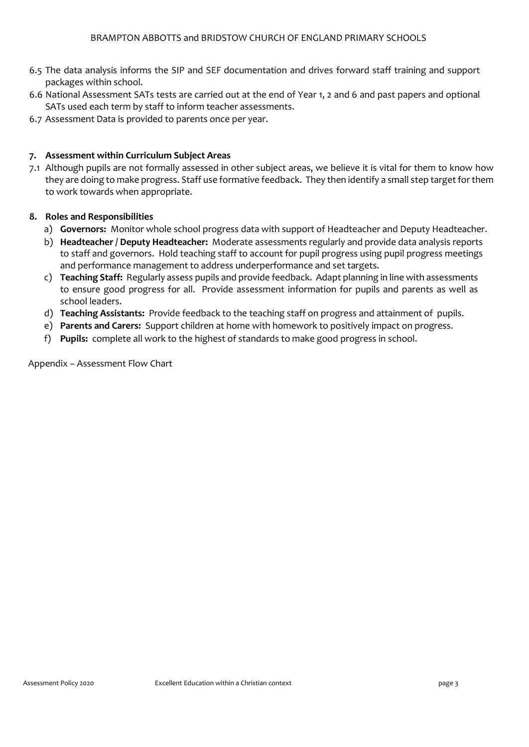- 6.5 The data analysis informs the SIP and SEF documentation and drives forward staff training and support packages within school.
- 6.6 National Assessment SATs tests are carried out at the end of Year 1, 2 and 6 and past papers and optional SATs used each term by staff to inform teacher assessments.
- 6.7 Assessment Data is provided to parents once per year.

#### **7. Assessment within Curriculum Subject Areas**

7.1 Although pupils are not formally assessed in other subject areas, we believe it is vital for them to know how they are doing to make progress. Staff use formative feedback. They then identify a small step target for them to work towards when appropriate.

#### **8. Roles and Responsibilities**

- a) **Governors:** Monitor whole school progress data with support of Headteacher and Deputy Headteacher.
- b) **Headteacher / Deputy Headteacher:** Moderate assessments regularly and provide data analysis reports to staff and governors. Hold teaching staff to account for pupil progress using pupil progress meetings and performance management to address underperformance and set targets.
- c) **Teaching Staff:** Regularly assess pupils and provide feedback. Adapt planning in line with assessments to ensure good progress for all. Provide assessment information for pupils and parents as well as school leaders.
- d) **Teaching Assistants:** Provide feedback to the teaching staff on progress and attainment of pupils.
- e) **Parents and Carers:** Support children at home with homework to positively impact on progress.
- f) **Pupils:** complete all work to the highest of standards to make good progress in school.

Appendix – Assessment Flow Chart